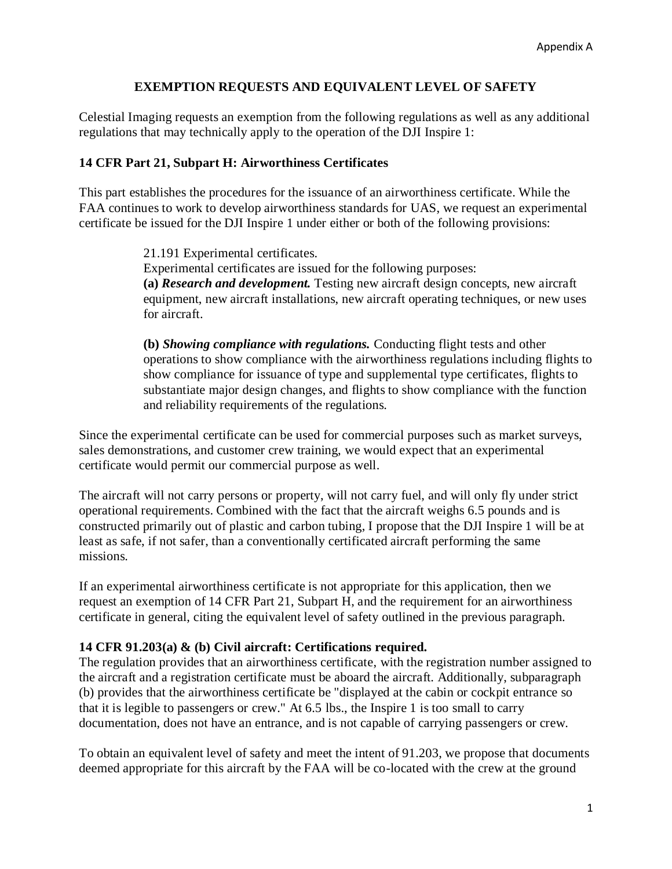## **EXEMPTION REQUESTS AND EQUIVALENT LEVEL OF SAFETY**

Celestial Imaging requests an exemption from the following regulations as well as any additional regulations that may technically apply to the operation of the DJI Inspire 1:

## **14 CFR Part 21, Subpart H: Airworthiness Certificates**

This part establishes the procedures for the issuance of an airworthiness certificate. While the FAA continues to work to develop airworthiness standards for UAS, we request an experimental certificate be issued for the DJI Inspire 1 under either or both of the following provisions:

> 21.191 Experimental certificates. Experimental certificates are issued for the following purposes: **(a)** *Research and development.* Testing new aircraft design concepts, new aircraft equipment, new aircraft installations, new aircraft operating techniques, or new uses for aircraft.

**(b)** *Showing compliance with regulations.* Conducting flight tests and other operations to show compliance with the airworthiness regulations including flights to show compliance for issuance of type and supplemental type certificates, flights to substantiate major design changes, and flights to show compliance with the function and reliability requirements of the regulations.

Since the experimental certificate can be used for commercial purposes such as market surveys, sales demonstrations, and customer crew training, we would expect that an experimental certificate would permit our commercial purpose as well.

The aircraft will not carry persons or property, will not carry fuel, and will only fly under strict operational requirements. Combined with the fact that the aircraft weighs 6.5 pounds and is constructed primarily out of plastic and carbon tubing, I propose that the DJI Inspire 1 will be at least as safe, if not safer, than a conventionally certificated aircraft performing the same missions.

If an experimental airworthiness certificate is not appropriate for this application, then we request an exemption of 14 CFR Part 21, Subpart H, and the requirement for an airworthiness certificate in general, citing the equivalent level of safety outlined in the previous paragraph.

## **14 CFR 91.203(a) & (b) Civil aircraft: Certifications required.**

The regulation provides that an airworthiness certificate, with the registration number assigned to the aircraft and a registration certificate must be aboard the aircraft. Additionally, subparagraph (b) provides that the airworthiness certificate be "displayed at the cabin or cockpit entrance so that it is legible to passengers or crew." At 6.5 lbs., the Inspire 1 is too small to carry documentation, does not have an entrance, and is not capable of carrying passengers or crew.

To obtain an equivalent level of safety and meet the intent of 91.203, we propose that documents deemed appropriate for this aircraft by the FAA will be co-located with the crew at the ground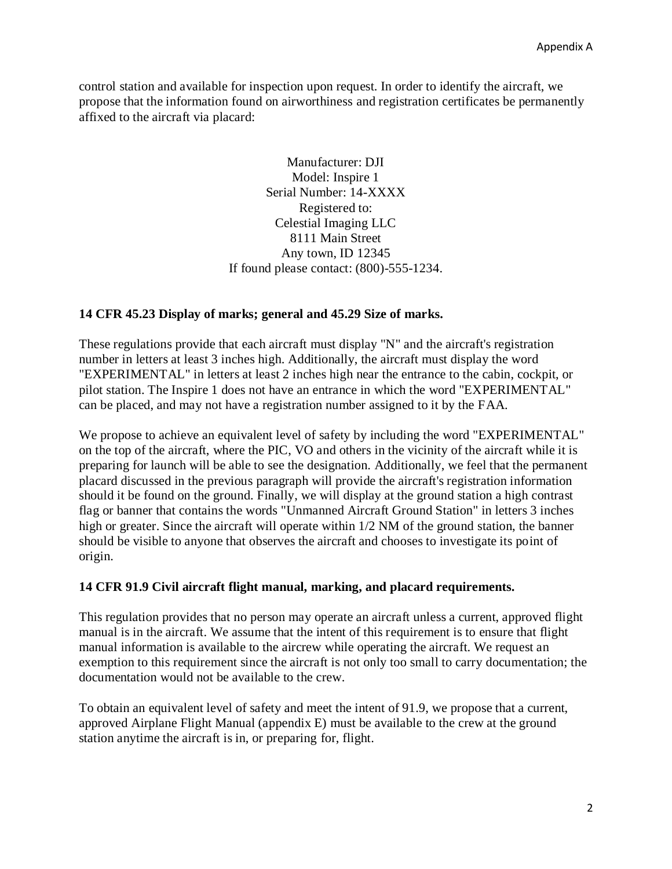control station and available for inspection upon request. In order to identify the aircraft, we propose that the information found on airworthiness and registration certificates be permanently affixed to the aircraft via placard:

> Manufacturer: DJI Model: Inspire 1 Serial Number: 14-XXXX Registered to: Celestial Imaging LLC 8111 Main Street Any town, ID 12345 If found please contact: (800)-555-1234.

## **14 CFR 45.23 Display of marks; general and 45.29 Size of marks.**

These regulations provide that each aircraft must display "N" and the aircraft's registration number in letters at least 3 inches high. Additionally, the aircraft must display the word "EXPERIMENTAL" in letters at least 2 inches high near the entrance to the cabin, cockpit, or pilot station. The Inspire 1 does not have an entrance in which the word "EXPERIMENTAL" can be placed, and may not have a registration number assigned to it by the FAA.

We propose to achieve an equivalent level of safety by including the word "EXPERIMENTAL" on the top of the aircraft, where the PIC, VO and others in the vicinity of the aircraft while it is preparing for launch will be able to see the designation. Additionally, we feel that the permanent placard discussed in the previous paragraph will provide the aircraft's registration information should it be found on the ground. Finally, we will display at the ground station a high contrast flag or banner that contains the words "Unmanned Aircraft Ground Station" in letters 3 inches high or greater. Since the aircraft will operate within 1/2 NM of the ground station, the banner should be visible to anyone that observes the aircraft and chooses to investigate its point of origin.

#### **14 CFR 91.9 Civil aircraft flight manual, marking, and placard requirements.**

This regulation provides that no person may operate an aircraft unless a current, approved flight manual is in the aircraft. We assume that the intent of this requirement is to ensure that flight manual information is available to the aircrew while operating the aircraft. We request an exemption to this requirement since the aircraft is not only too small to carry documentation; the documentation would not be available to the crew.

To obtain an equivalent level of safety and meet the intent of 91.9, we propose that a current, approved Airplane Flight Manual (appendix E) must be available to the crew at the ground station anytime the aircraft is in, or preparing for, flight.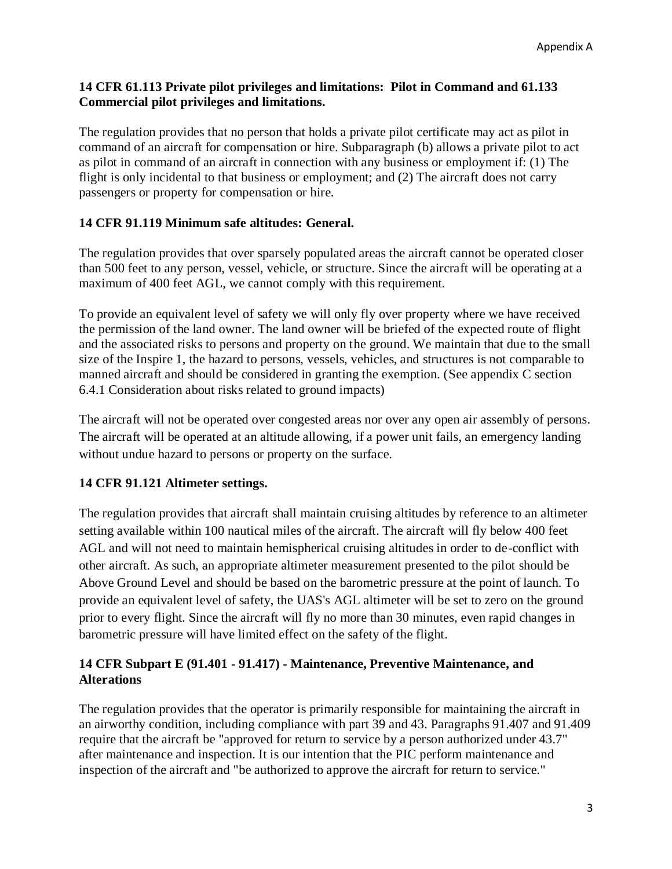## **14 CFR 61.113 Private pilot privileges and limitations: Pilot in Command and 61.133 Commercial pilot privileges and limitations.**

The regulation provides that no person that holds a private pilot certificate may act as pilot in command of an aircraft for compensation or hire. Subparagraph (b) allows a private pilot to act as pilot in command of an aircraft in connection with any business or employment if: (1) The flight is only incidental to that business or employment; and (2) The aircraft does not carry passengers or property for compensation or hire.

## **14 CFR 91.119 Minimum safe altitudes: General.**

The regulation provides that over sparsely populated areas the aircraft cannot be operated closer than 500 feet to any person, vessel, vehicle, or structure. Since the aircraft will be operating at a maximum of 400 feet AGL, we cannot comply with this requirement.

To provide an equivalent level of safety we will only fly over property where we have received the permission of the land owner. The land owner will be briefed of the expected route of flight and the associated risks to persons and property on the ground. We maintain that due to the small size of the Inspire 1, the hazard to persons, vessels, vehicles, and structures is not comparable to manned aircraft and should be considered in granting the exemption. (See appendix C section 6.4.1 Consideration about risks related to ground impacts)

The aircraft will not be operated over congested areas nor over any open air assembly of persons. The aircraft will be operated at an altitude allowing, if a power unit fails, an emergency landing without undue hazard to persons or property on the surface.

## **14 CFR 91.121 Altimeter settings.**

The regulation provides that aircraft shall maintain cruising altitudes by reference to an altimeter setting available within 100 nautical miles of the aircraft. The aircraft will fly below 400 feet AGL and will not need to maintain hemispherical cruising altitudes in order to de-conflict with other aircraft. As such, an appropriate altimeter measurement presented to the pilot should be Above Ground Level and should be based on the barometric pressure at the point of launch. To provide an equivalent level of safety, the UAS's AGL altimeter will be set to zero on the ground prior to every flight. Since the aircraft will fly no more than 30 minutes, even rapid changes in barometric pressure will have limited effect on the safety of the flight.

# **14 CFR Subpart E (91.401 - 91.417) - Maintenance, Preventive Maintenance, and Alterations**

The regulation provides that the operator is primarily responsible for maintaining the aircraft in an airworthy condition, including compliance with part 39 and 43. Paragraphs 91.407 and 91.409 require that the aircraft be "approved for return to service by a person authorized under 43.7" after maintenance and inspection. It is our intention that the PIC perform maintenance and inspection of the aircraft and "be authorized to approve the aircraft for return to service."